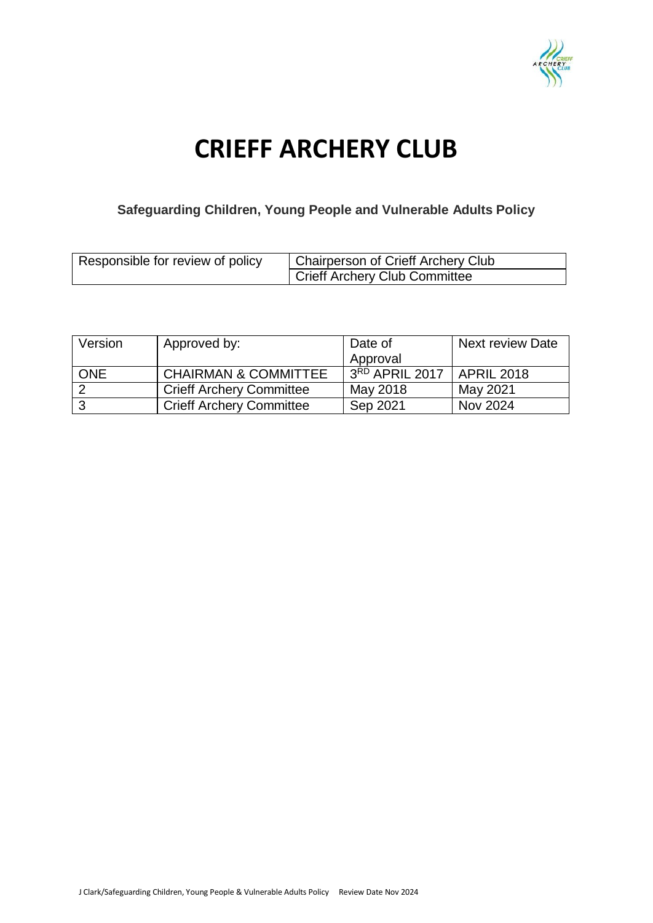

# **CRIEFF ARCHERY CLUB**

## **Safeguarding Children, Young People and Vulnerable Adults Policy**

| Responsible for review of policy | Chairperson of Crieff Archery Club   |
|----------------------------------|--------------------------------------|
|                                  | <b>Crieff Archery Club Committee</b> |

| Version    | Approved by:                    | Date of        | <b>Next review Date</b> |
|------------|---------------------------------|----------------|-------------------------|
|            |                                 | Approval       |                         |
| <b>ONE</b> | <b>CHAIRMAN &amp; COMMITTEE</b> | 3RD APRIL 2017 | <b>APRIL 2018</b>       |
|            | <b>Crieff Archery Committee</b> | May 2018       | May 2021                |
|            | <b>Crieff Archery Committee</b> | Sep 2021       | Nov 2024                |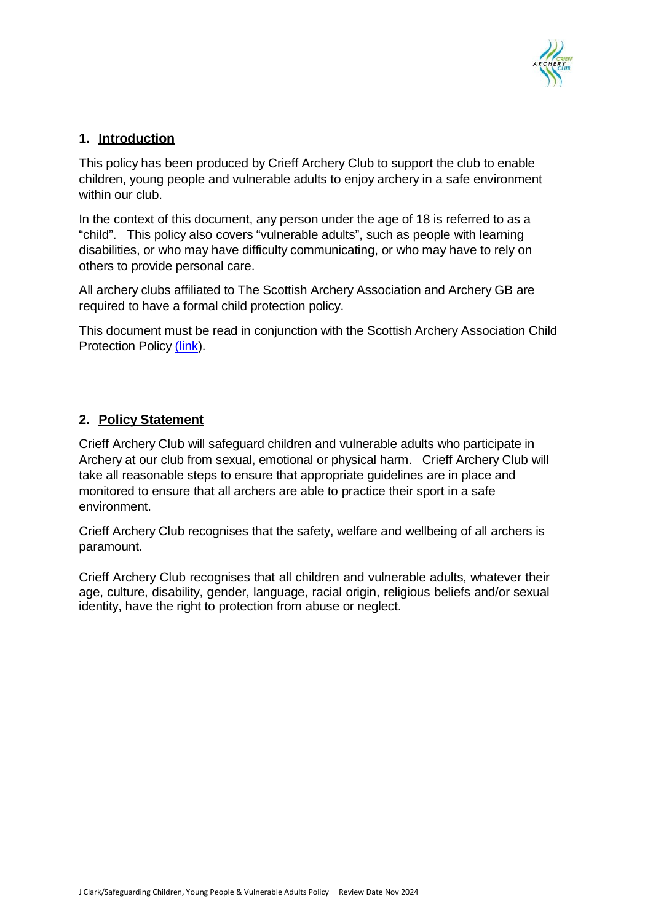

## **1. Introduction**

This policy has been produced by Crieff Archery Club to support the club to enable children, young people and vulnerable adults to enjoy archery in a safe environment within our club.

In the context of this document, any person under the age of 18 is referred to as a "child". This policy also covers "vulnerable adults", such as people with learning disabilities, or who may have difficulty communicating, or who may have to rely on others to provide personal care.

All archery clubs affiliated to The Scottish Archery Association and Archery GB are required to have a formal child protection policy.

This document must be read in conjunction with the Scottish Archery Association Child Protection Policy [\(link\)](http://scottisharchery.org.uk/about-us/safeguarding).

### **2. Policy Statement**

Crieff Archery Club will safeguard children and vulnerable adults who participate in Archery at our club from sexual, emotional or physical harm. Crieff Archery Club will take all reasonable steps to ensure that appropriate guidelines are in place and monitored to ensure that all archers are able to practice their sport in a safe environment.

Crieff Archery Club recognises that the safety, welfare and wellbeing of all archers is paramount.

Crieff Archery Club recognises that all children and vulnerable adults, whatever their age, culture, disability, gender, language, racial origin, religious beliefs and/or sexual identity, have the right to protection from abuse or neglect.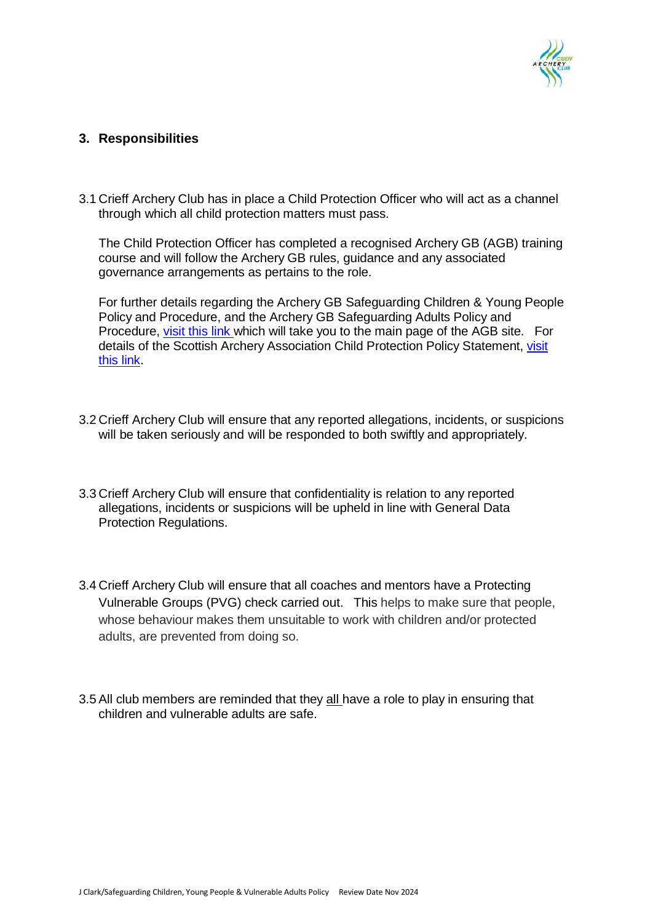

#### **3. Responsibilities**

3.1 Crieff Archery Club has in place a Child Protection Officer who will act as a channel through which all child protection matters must pass.

The Child Protection Officer has completed a recognised Archery GB (AGB) training course and will follow the Archery GB rules, guidance and any associated governance arrangements as pertains to the role.

For further details regarding the Archery GB Safeguarding Children & Young People Policy and Procedure, and the Archery GB Safeguarding Adults Policy and Procedure, [visit](http://www.archerygb.org/) this link which will take you to the main page of the AGB site. F[or](http://scottisharchery.org.uk/about-us/safeguarding) details of the Scottish Archery Association Child Protection Policy Statement, [visit](http://scottisharchery.org.uk/about-us/safeguarding) this [link.](http://scottisharchery.org.uk/about-us/safeguarding)

- 3.2 Crieff Archery Club will ensure that any reported allegations, incidents, or suspicions will be taken seriously and will be responded to both swiftly and appropriately.
- 3.3 Crieff Archery Club will ensure that confidentiality is relation to any reported allegations, incidents or suspicions will be upheld in line with General Data Protection Regulations.
- 3.4 Crieff Archery Club will ensure that all coaches and mentors have a Protecting Vulnerable Groups (PVG) check carried out. This helps to make sure that people, whose behaviour makes them unsuitable to work with children and/or protected adults, are prevented from doing so.
- 3.5 All club members are reminded that they all have a role to play in ensuring that children and vulnerable adults are safe.